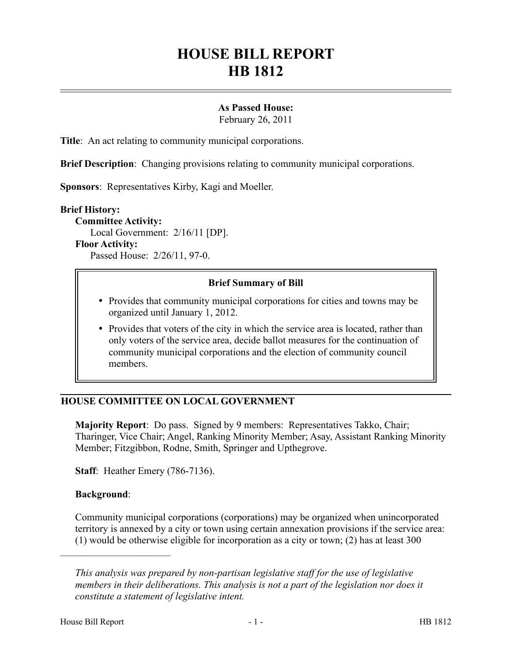# **HOUSE BILL REPORT HB 1812**

## **As Passed House:**

February 26, 2011

**Title**: An act relating to community municipal corporations.

**Brief Description**: Changing provisions relating to community municipal corporations.

**Sponsors**: Representatives Kirby, Kagi and Moeller.

#### **Brief History:**

**Committee Activity:** Local Government: 2/16/11 [DP]. **Floor Activity:** Passed House: 2/26/11, 97-0.

## **Brief Summary of Bill**

- Provides that community municipal corporations for cities and towns may be organized until January 1, 2012.
- Provides that voters of the city in which the service area is located, rather than only voters of the service area, decide ballot measures for the continuation of community municipal corporations and the election of community council members.

## **HOUSE COMMITTEE ON LOCAL GOVERNMENT**

**Majority Report**: Do pass. Signed by 9 members: Representatives Takko, Chair; Tharinger, Vice Chair; Angel, Ranking Minority Member; Asay, Assistant Ranking Minority Member; Fitzgibbon, Rodne, Smith, Springer and Upthegrove.

**Staff**: Heather Emery (786-7136).

## **Background**:

––––––––––––––––––––––

Community municipal corporations (corporations) may be organized when unincorporated territory is annexed by a city or town using certain annexation provisions if the service area: (1) would be otherwise eligible for incorporation as a city or town; (2) has at least 300

*This analysis was prepared by non-partisan legislative staff for the use of legislative members in their deliberations. This analysis is not a part of the legislation nor does it constitute a statement of legislative intent.*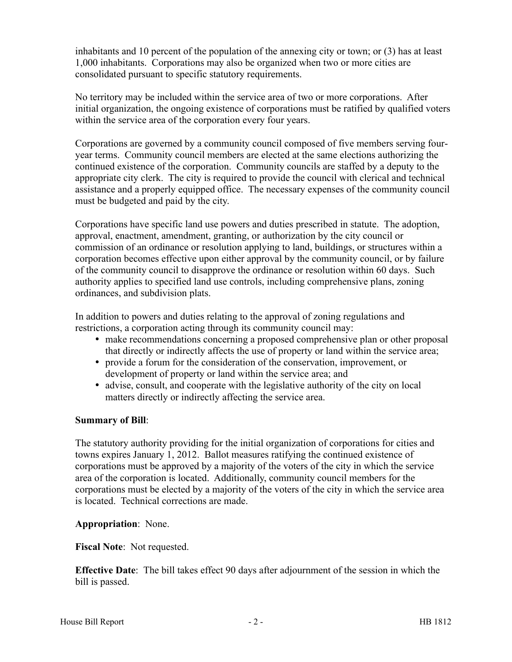inhabitants and 10 percent of the population of the annexing city or town; or (3) has at least 1,000 inhabitants. Corporations may also be organized when two or more cities are consolidated pursuant to specific statutory requirements.

No territory may be included within the service area of two or more corporations. After initial organization, the ongoing existence of corporations must be ratified by qualified voters within the service area of the corporation every four years.

Corporations are governed by a community council composed of five members serving fouryear terms. Community council members are elected at the same elections authorizing the continued existence of the corporation. Community councils are staffed by a deputy to the appropriate city clerk. The city is required to provide the council with clerical and technical assistance and a properly equipped office. The necessary expenses of the community council must be budgeted and paid by the city.

Corporations have specific land use powers and duties prescribed in statute. The adoption, approval, enactment, amendment, granting, or authorization by the city council or commission of an ordinance or resolution applying to land, buildings, or structures within a corporation becomes effective upon either approval by the community council, or by failure of the community council to disapprove the ordinance or resolution within 60 days. Such authority applies to specified land use controls, including comprehensive plans, zoning ordinances, and subdivision plats.

In addition to powers and duties relating to the approval of zoning regulations and restrictions, a corporation acting through its community council may:

- make recommendations concerning a proposed comprehensive plan or other proposal that directly or indirectly affects the use of property or land within the service area;
- provide a forum for the consideration of the conservation, improvement, or development of property or land within the service area; and
- advise, consult, and cooperate with the legislative authority of the city on local matters directly or indirectly affecting the service area.

## **Summary of Bill**:

The statutory authority providing for the initial organization of corporations for cities and towns expires January 1, 2012. Ballot measures ratifying the continued existence of corporations must be approved by a majority of the voters of the city in which the service area of the corporation is located. Additionally, community council members for the corporations must be elected by a majority of the voters of the city in which the service area is located. Technical corrections are made.

## **Appropriation**: None.

**Fiscal Note**: Not requested.

**Effective Date**: The bill takes effect 90 days after adjournment of the session in which the bill is passed.